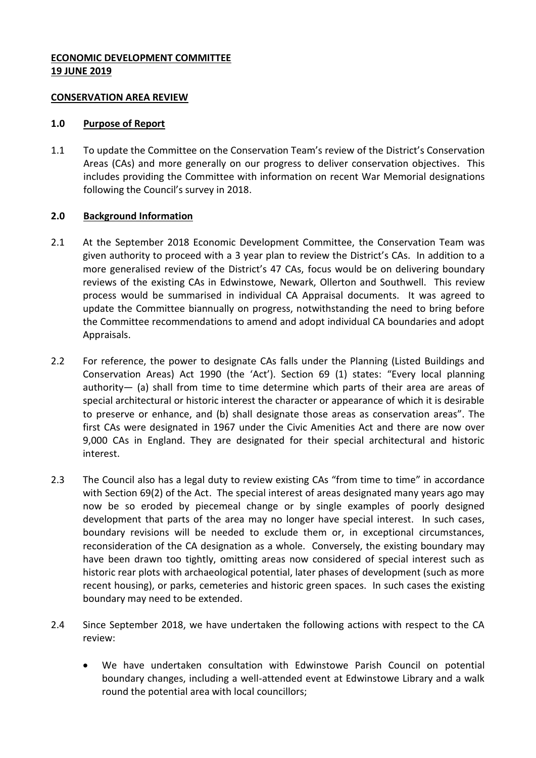### **ECONOMIC DEVELOPMENT COMMITTEE 19 JUNE 2019**

#### **CONSERVATION AREA REVIEW**

#### **1.0 Purpose of Report**

1.1 To update the Committee on the Conservation Team's review of the District's Conservation Areas (CAs) and more generally on our progress to deliver conservation objectives. This includes providing the Committee with information on recent War Memorial designations following the Council's survey in 2018.

### **2.0 Background Information**

- 2.1 At the September 2018 Economic Development Committee, the Conservation Team was given authority to proceed with a 3 year plan to review the District's CAs. In addition to a more generalised review of the District's 47 CAs, focus would be on delivering boundary reviews of the existing CAs in Edwinstowe, Newark, Ollerton and Southwell. This review process would be summarised in individual CA Appraisal documents. It was agreed to update the Committee biannually on progress, notwithstanding the need to bring before the Committee recommendations to amend and adopt individual CA boundaries and adopt Appraisals.
- 2.2 For reference, the power to designate CAs falls under the Planning (Listed Buildings and Conservation Areas) Act 1990 (the 'Act'). Section 69 (1) states: "Every local planning authority— (a) shall from time to time determine which parts of their area are areas of special architectural or historic interest the character or appearance of which it is desirable to preserve or enhance, and (b) shall designate those areas as conservation areas". The first CAs were designated in 1967 under the Civic Amenities Act and there are now over 9,000 CAs in England. They are designated for their special architectural and historic interest.
- 2.3 The Council also has a legal duty to review existing CAs "from time to time" in accordance with Section 69(2) of the Act. The special interest of areas designated many years ago may now be so eroded by piecemeal change or by single examples of poorly designed development that parts of the area may no longer have special interest. In such cases, boundary revisions will be needed to exclude them or, in exceptional circumstances, reconsideration of the CA designation as a whole. Conversely, the existing boundary may have been drawn too tightly, omitting areas now considered of special interest such as historic rear plots with archaeological potential, later phases of development (such as more recent housing), or parks, cemeteries and historic green spaces. In such cases the existing boundary may need to be extended.
- 2.4 Since September 2018, we have undertaken the following actions with respect to the CA review:
	- We have undertaken consultation with Edwinstowe Parish Council on potential boundary changes, including a well-attended event at Edwinstowe Library and a walk round the potential area with local councillors;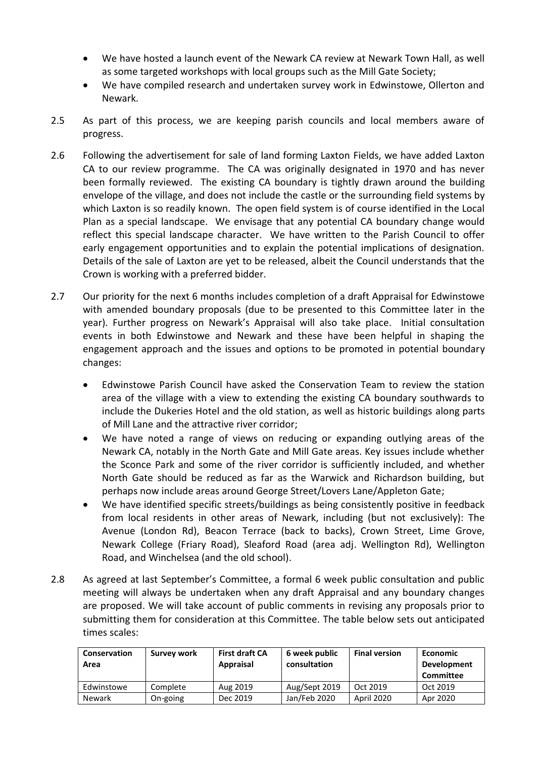- We have hosted a launch event of the Newark CA review at Newark Town Hall, as well as some targeted workshops with local groups such as the Mill Gate Society;
- We have compiled research and undertaken survey work in Edwinstowe, Ollerton and Newark.
- 2.5 As part of this process, we are keeping parish councils and local members aware of progress.
- 2.6 Following the advertisement for sale of land forming Laxton Fields, we have added Laxton CA to our review programme. The CA was originally designated in 1970 and has never been formally reviewed. The existing CA boundary is tightly drawn around the building envelope of the village, and does not include the castle or the surrounding field systems by which Laxton is so readily known. The open field system is of course identified in the Local Plan as a special landscape. We envisage that any potential CA boundary change would reflect this special landscape character. We have written to the Parish Council to offer early engagement opportunities and to explain the potential implications of designation. Details of the sale of Laxton are yet to be released, albeit the Council understands that the Crown is working with a preferred bidder.
- 2.7 Our priority for the next 6 months includes completion of a draft Appraisal for Edwinstowe with amended boundary proposals (due to be presented to this Committee later in the year). Further progress on Newark's Appraisal will also take place. Initial consultation events in both Edwinstowe and Newark and these have been helpful in shaping the engagement approach and the issues and options to be promoted in potential boundary changes:
	- Edwinstowe Parish Council have asked the Conservation Team to review the station area of the village with a view to extending the existing CA boundary southwards to include the Dukeries Hotel and the old station, as well as historic buildings along parts of Mill Lane and the attractive river corridor;
	- We have noted a range of views on reducing or expanding outlying areas of the Newark CA, notably in the North Gate and Mill Gate areas. Key issues include whether the Sconce Park and some of the river corridor is sufficiently included, and whether North Gate should be reduced as far as the Warwick and Richardson building, but perhaps now include areas around George Street/Lovers Lane/Appleton Gate;
	- We have identified specific streets/buildings as being consistently positive in feedback from local residents in other areas of Newark, including (but not exclusively): The Avenue (London Rd), Beacon Terrace (back to backs), Crown Street, Lime Grove, Newark College (Friary Road), Sleaford Road (area adj. Wellington Rd), Wellington Road, and Winchelsea (and the old school).
- 2.8 As agreed at last September's Committee, a formal 6 week public consultation and public meeting will always be undertaken when any draft Appraisal and any boundary changes are proposed. We will take account of public comments in revising any proposals prior to submitting them for consideration at this Committee. The table below sets out anticipated times scales:

| Conservation<br>Area | Survey work | <b>First draft CA</b><br>Appraisal | 6 week public<br>consultation | <b>Final version</b> | Economic<br><b>Development</b><br>Committee |
|----------------------|-------------|------------------------------------|-------------------------------|----------------------|---------------------------------------------|
| Edwinstowe           | Complete    | Aug 2019                           | Aug/Sept 2019                 | Oct 2019             | Oct 2019                                    |
| <b>Newark</b>        | On-going    | Dec 2019                           | Jan/Feb 2020                  | April 2020           | Apr 2020                                    |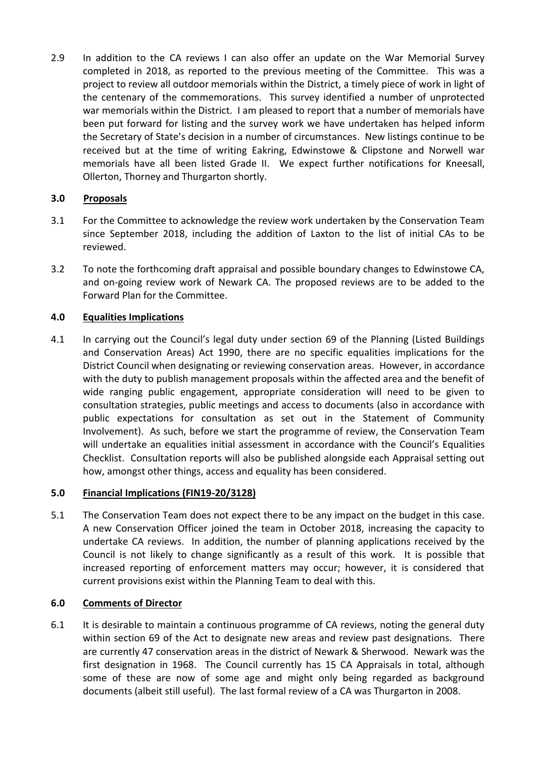2.9 In addition to the CA reviews I can also offer an update on the War Memorial Survey completed in 2018, as reported to the previous meeting of the Committee. This was a project to review all outdoor memorials within the District, a timely piece of work in light of the centenary of the commemorations. This survey identified a number of unprotected war memorials within the District. I am pleased to report that a number of memorials have been put forward for listing and the survey work we have undertaken has helped inform the Secretary of State's decision in a number of circumstances. New listings continue to be received but at the time of writing Eakring, Edwinstowe & Clipstone and Norwell war memorials have all been listed Grade II. We expect further notifications for Kneesall, Ollerton, Thorney and Thurgarton shortly.

## **3.0 Proposals**

- 3.1 For the Committee to acknowledge the review work undertaken by the Conservation Team since September 2018, including the addition of Laxton to the list of initial CAs to be reviewed.
- 3.2 To note the forthcoming draft appraisal and possible boundary changes to Edwinstowe CA, and on-going review work of Newark CA. The proposed reviews are to be added to the Forward Plan for the Committee.

### **4.0 Equalities Implications**

4.1 In carrying out the Council's legal duty under section 69 of the Planning (Listed Buildings and Conservation Areas) Act 1990, there are no specific equalities implications for the District Council when designating or reviewing conservation areas. However, in accordance with the duty to publish management proposals within the affected area and the benefit of wide ranging public engagement, appropriate consideration will need to be given to consultation strategies, public meetings and access to documents (also in accordance with public expectations for consultation as set out in the Statement of Community Involvement). As such, before we start the programme of review, the Conservation Team will undertake an equalities initial assessment in accordance with the Council's Equalities Checklist. Consultation reports will also be published alongside each Appraisal setting out how, amongst other things, access and equality has been considered.

### **5.0 Financial Implications (FIN19-20/3128)**

5.1 The Conservation Team does not expect there to be any impact on the budget in this case. A new Conservation Officer joined the team in October 2018, increasing the capacity to undertake CA reviews. In addition, the number of planning applications received by the Council is not likely to change significantly as a result of this work. It is possible that increased reporting of enforcement matters may occur; however, it is considered that current provisions exist within the Planning Team to deal with this.

# **6.0 Comments of Director**

6.1 It is desirable to maintain a continuous programme of CA reviews, noting the general duty within section 69 of the Act to designate new areas and review past designations. There are currently 47 conservation areas in the district of Newark & Sherwood. Newark was the first designation in 1968. The Council currently has 15 CA Appraisals in total, although some of these are now of some age and might only being regarded as background documents (albeit still useful). The last formal review of a CA was Thurgarton in 2008.